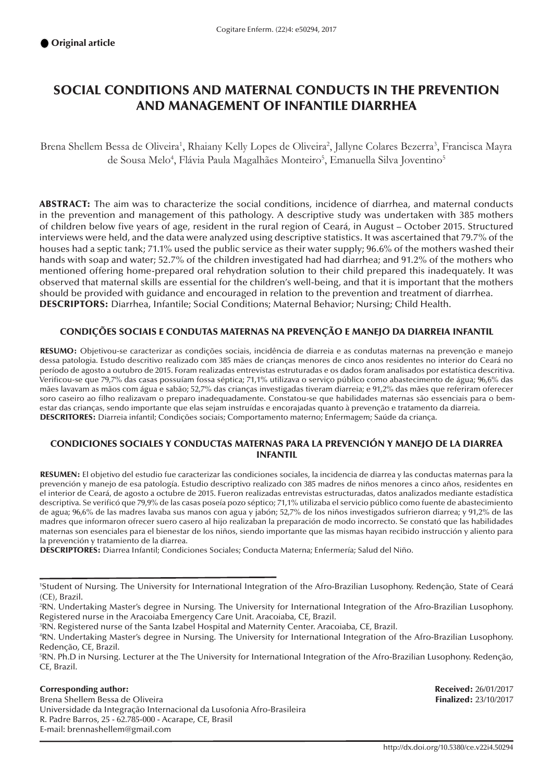# SOCIAL CONDITIONS AND MATERNAL CONDUCTS IN THE PREVENTION AND MANAGEMENT OF INFANTILE DIARRHEA

Brena Shellem Bessa de Oliveira<sup>1</sup>, Rhaiany Kelly Lopes de Oliveira<sup>2</sup>, Jallyne Colares Bezerra<sup>3</sup>, Francisca Mayra de Sousa Melo<sup>4</sup>, Flávia Paula Magalhães Monteiro<sup>5</sup>, Emanuella Silva Joventino<sup>5</sup>

ABSTRACT: The aim was to characterize the social conditions, incidence of diarrhea, and maternal conducts in the prevention and management of this pathology. A descriptive study was undertaken with 385 mothers of children below five years of age, resident in the rural region of Ceará, in August – October 2015. Structured interviews were held, and the data were analyzed using descriptive statistics. It was ascertained that 79.7% of the houses had a septic tank; 71.1% used the public service as their water supply; 96.6% of the mothers washed their hands with soap and water; 52.7% of the children investigated had had diarrhea; and 91.2% of the mothers who mentioned offering home-prepared oral rehydration solution to their child prepared this inadequately. It was observed that maternal skills are essential for the children's well-being, and that it is important that the mothers should be provided with guidance and encouraged in relation to the prevention and treatment of diarrhea. DESCRIPTORS: Diarrhea, Infantile; Social Conditions; Maternal Behavior; Nursing; Child Health.

#### CONDIÇÕES SOCIAIS E CONDUTAS MATERNAS NA PREVENÇÃO E MANEJO DA DIARREIA INFANTIL

RESUMO: Objetivou-se caracterizar as condições sociais, incidência de diarreia e as condutas maternas na prevenção e manejo dessa patologia. Estudo descritivo realizado com 385 mães de crianças menores de cinco anos residentes no interior do Ceará no período de agosto a outubro de 2015. Foram realizadas entrevistas estruturadas e os dados foram analisados por estatística descritiva. Verificou-se que 79,7% das casas possuíam fossa séptica; 71,1% utilizava o serviço público como abastecimento de água; 96,6% das mães lavavam as mãos com água e sabão; 52,7% das crianças investigadas tiveram diarreia; e 91,2% das mães que referiram oferecer soro caseiro ao filho realizavam o preparo inadequadamente. Constatou-se que habilidades maternas são essenciais para o bemestar das crianças, sendo importante que elas sejam instruídas e encorajadas quanto à prevenção e tratamento da diarreia. DESCRITORES: Diarreia infantil; Condições sociais; Comportamento materno; Enfermagem; Saúde da criança.

#### CONDICIONES SOCIALES Y CONDUCTAS MATERNAS PARA LA PREVENCIÓN Y MANEJO DE LA DIARREA INFANTIL

RESUMEN: El objetivo del estudio fue caracterizar las condiciones sociales, la incidencia de diarrea y las conductas maternas para la prevención y manejo de esa patología. Estudio descriptivo realizado con 385 madres de niños menores a cinco años, residentes en el interior de Ceará, de agosto a octubre de 2015. Fueron realizadas entrevistas estructuradas, datos analizados mediante estadística descriptiva. Se verificó que 79,9% de las casas poseía pozo séptico; 71,1% utilizaba el servicio público como fuente de abastecimiento de agua; 96,6% de las madres lavaba sus manos con agua y jabón; 52,7% de los niños investigados sufrieron diarrea; y 91,2% de las madres que informaron ofrecer suero casero al hijo realizaban la preparación de modo incorrecto. Se constató que las habilidades maternas son esenciales para el bienestar de los niños, siendo importante que las mismas hayan recibido instrucción y aliento para la prevención y tratamiento de la diarrea.

DESCRIPTORES: Diarrea Infantil; Condiciones Sociales; Conducta Materna; Enfermería; Salud del Niño.

**Corresponding author: Received: 26/01/2017**<br>
Brena Shellem Bessa de Oliveira **Executed: 26/01/2017**<br> **Received: 23/10/2017** Brena Shellem Bessa de Oliveira Universidade da Integração Internacional da Lusofonia Afro-Brasileira R. Padre Barros, 25 - 62.785-000 - Acarape, CE, Brasil E-mail: brennashellem@gmail.com

<sup>1</sup> Student of Nursing. The University for International Integration of the Afro-Brazilian Lusophony. Redenção, State of Ceará (CE), Brazil.

<sup>2</sup> RN. Undertaking Master's degree in Nursing. The University for International Integration of the Afro-Brazilian Lusophony. Registered nurse in the Aracoiaba Emergency Care Unit. Aracoiaba, CE, Brazil.

<sup>3</sup> RN. Registered nurse of the Santa Izabel Hospital and Maternity Center. Aracoiaba, CE, Brazil.

<sup>4</sup> RN. Undertaking Master's degree in Nursing. The University for International Integration of the Afro-Brazilian Lusophony. Redenção, CE, Brazil.

<sup>5</sup> RN. Ph.D in Nursing. Lecturer at the The University for International Integration of the Afro-Brazilian Lusophony. Redenção, CE, Brazil.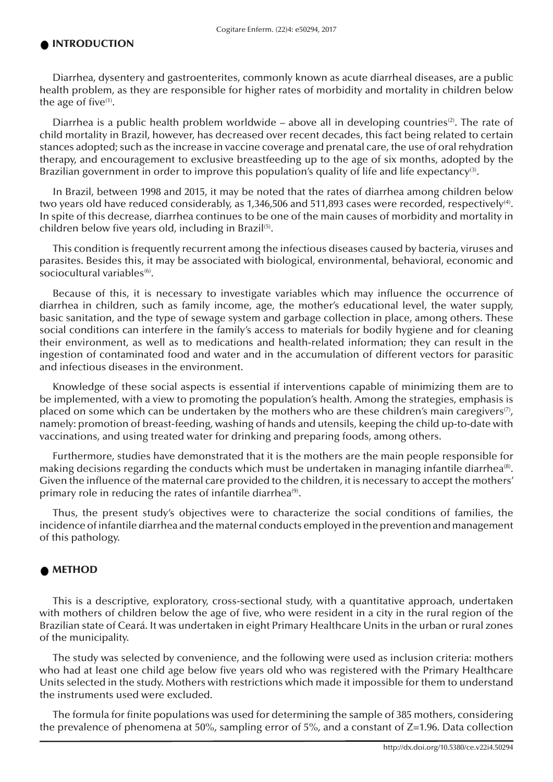#### INTRODUCTION

Diarrhea, dysentery and gastroenterites, commonly known as acute diarrheal diseases, are a public health problem, as they are responsible for higher rates of morbidity and mortality in children below the age of five $(1)$ .

Diarrhea is a public health problem worldwide – above all in developing countries<sup>(2)</sup>. The rate of child mortality in Brazil, however, has decreased over recent decades, this fact being related to certain stances adopted; such as the increase in vaccine coverage and prenatal care, the use of oral rehydration therapy, and encouragement to exclusive breastfeeding up to the age of six months, adopted by the Brazilian government in order to improve this population's quality of life and life expectancy<sup>(3)</sup>.

In Brazil, between 1998 and 2015, it may be noted that the rates of diarrhea among children below two years old have reduced considerably, as 1,346,506 and 511,893 cases were recorded, respectively<sup>(4)</sup>. In spite of this decrease, diarrhea continues to be one of the main causes of morbidity and mortality in children below five years old, including in Brazil<sup>(5)</sup>.

This condition is frequently recurrent among the infectious diseases caused by bacteria, viruses and parasites. Besides this, it may be associated with biological, environmental, behavioral, economic and sociocultural variables<sup>(6)</sup>.

Because of this, it is necessary to investigate variables which may influence the occurrence of diarrhea in children, such as family income, age, the mother's educational level, the water supply, basic sanitation, and the type of sewage system and garbage collection in place, among others. These social conditions can interfere in the family's access to materials for bodily hygiene and for cleaning their environment, as well as to medications and health-related information; they can result in the ingestion of contaminated food and water and in the accumulation of different vectors for parasitic and infectious diseases in the environment.

Knowledge of these social aspects is essential if interventions capable of minimizing them are to be implemented, with a view to promoting the population's health. Among the strategies, emphasis is placed on some which can be undertaken by the mothers who are these children's main caregivers<sup>(7)</sup>, namely: promotion of breast-feeding, washing of hands and utensils, keeping the child up-to-date with vaccinations, and using treated water for drinking and preparing foods, among others.

Furthermore, studies have demonstrated that it is the mothers are the main people responsible for making decisions regarding the conducts which must be undertaken in managing infantile diarrhea<sup>(8)</sup>. Given the influence of the maternal care provided to the children, it is necessary to accept the mothers' primary role in reducing the rates of infantile diarrhea<sup>(9)</sup>.

Thus, the present study's objectives were to characterize the social conditions of families, the incidence of infantile diarrhea and the maternal conducts employed in the prevention and management of this pathology.

#### METHOD

This is a descriptive, exploratory, cross-sectional study, with a quantitative approach, undertaken with mothers of children below the age of five, who were resident in a city in the rural region of the Brazilian state of Ceará. It was undertaken in eight Primary Healthcare Units in the urban or rural zones of the municipality.

The study was selected by convenience, and the following were used as inclusion criteria: mothers who had at least one child age below five years old who was registered with the Primary Healthcare Units selected in the study. Mothers with restrictions which made it impossible for them to understand the instruments used were excluded.

The formula for finite populations was used for determining the sample of 385 mothers, considering the prevalence of phenomena at 50%, sampling error of 5%, and a constant of Z=1.96. Data collection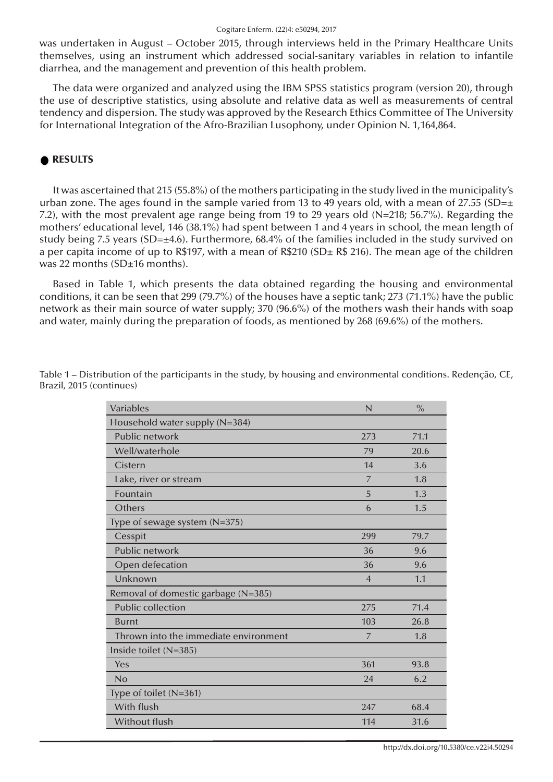was undertaken in August – October 2015, through interviews held in the Primary Healthcare Units themselves, using an instrument which addressed social-sanitary variables in relation to infantile diarrhea, and the management and prevention of this health problem.

The data were organized and analyzed using the IBM SPSS statistics program (version 20), through the use of descriptive statistics, using absolute and relative data as well as measurements of central tendency and dispersion. The study was approved by the Research Ethics Committee of The University for International Integration of the Afro-Brazilian Lusophony, under Opinion N. 1,164,864.

#### RESULTS

It was ascertained that 215 (55.8%) of the mothers participating in the study lived in the municipality's urban zone. The ages found in the sample varied from 13 to 49 years old, with a mean of 27.55 (SD= $\pm$ 7.2), with the most prevalent age range being from 19 to 29 years old (N=218; 56.7%). Regarding the mothers' educational level, 146 (38.1%) had spent between 1 and 4 years in school, the mean length of study being 7.5 years (SD=±4.6). Furthermore, 68.4% of the families included in the study survived on a per capita income of up to R\$197, with a mean of R\$210 (SD $\pm$  R\$ 216). The mean age of the children was 22 months (SD±16 months).

Based in Table 1, which presents the data obtained regarding the housing and environmental conditions, it can be seen that 299 (79.7%) of the houses have a septic tank; 273 (71.1%) have the public network as their main source of water supply; 370 (96.6%) of the mothers wash their hands with soap and water, mainly during the preparation of foods, as mentioned by 268 (69.6%) of the mothers.

| Household water supply (N=384)<br>Public network<br>71.1<br>273<br>Well/waterhole<br>20.6<br>79<br>Cistern<br>14<br>3.6<br>Lake, river or stream<br>$\overline{7}$<br>1.8<br>Fountain<br>1.3<br>5<br>Others<br>1.5<br>6<br>Type of sewage system (N=375)<br>Cesspit<br>299<br>79.7<br>Public network<br>36<br>9.6<br>Open defecation<br>36<br>9.6<br>Unknown<br>1.1<br>$\overline{4}$<br>Removal of domestic garbage (N=385)<br><b>Public collection</b><br>71.4<br>275<br>103<br><b>Burnt</b><br>26.8<br>Thrown into the immediate environment<br>1.8<br>$\overline{7}$<br>Inside toilet (N=385)<br>361<br>93.8<br>Yes<br>No<br>24<br>6.2<br>Type of toilet (N=361)<br>With flush<br>247<br>68.4<br>Without flush<br>114<br>31.6 | Variables | N | $\frac{0}{0}$ |
|-----------------------------------------------------------------------------------------------------------------------------------------------------------------------------------------------------------------------------------------------------------------------------------------------------------------------------------------------------------------------------------------------------------------------------------------------------------------------------------------------------------------------------------------------------------------------------------------------------------------------------------------------------------------------------------------------------------------------------------|-----------|---|---------------|
|                                                                                                                                                                                                                                                                                                                                                                                                                                                                                                                                                                                                                                                                                                                                   |           |   |               |
|                                                                                                                                                                                                                                                                                                                                                                                                                                                                                                                                                                                                                                                                                                                                   |           |   |               |
|                                                                                                                                                                                                                                                                                                                                                                                                                                                                                                                                                                                                                                                                                                                                   |           |   |               |
|                                                                                                                                                                                                                                                                                                                                                                                                                                                                                                                                                                                                                                                                                                                                   |           |   |               |
|                                                                                                                                                                                                                                                                                                                                                                                                                                                                                                                                                                                                                                                                                                                                   |           |   |               |
|                                                                                                                                                                                                                                                                                                                                                                                                                                                                                                                                                                                                                                                                                                                                   |           |   |               |
|                                                                                                                                                                                                                                                                                                                                                                                                                                                                                                                                                                                                                                                                                                                                   |           |   |               |
|                                                                                                                                                                                                                                                                                                                                                                                                                                                                                                                                                                                                                                                                                                                                   |           |   |               |
|                                                                                                                                                                                                                                                                                                                                                                                                                                                                                                                                                                                                                                                                                                                                   |           |   |               |
|                                                                                                                                                                                                                                                                                                                                                                                                                                                                                                                                                                                                                                                                                                                                   |           |   |               |
|                                                                                                                                                                                                                                                                                                                                                                                                                                                                                                                                                                                                                                                                                                                                   |           |   |               |
|                                                                                                                                                                                                                                                                                                                                                                                                                                                                                                                                                                                                                                                                                                                                   |           |   |               |
|                                                                                                                                                                                                                                                                                                                                                                                                                                                                                                                                                                                                                                                                                                                                   |           |   |               |
|                                                                                                                                                                                                                                                                                                                                                                                                                                                                                                                                                                                                                                                                                                                                   |           |   |               |
|                                                                                                                                                                                                                                                                                                                                                                                                                                                                                                                                                                                                                                                                                                                                   |           |   |               |
|                                                                                                                                                                                                                                                                                                                                                                                                                                                                                                                                                                                                                                                                                                                                   |           |   |               |
|                                                                                                                                                                                                                                                                                                                                                                                                                                                                                                                                                                                                                                                                                                                                   |           |   |               |
|                                                                                                                                                                                                                                                                                                                                                                                                                                                                                                                                                                                                                                                                                                                                   |           |   |               |
|                                                                                                                                                                                                                                                                                                                                                                                                                                                                                                                                                                                                                                                                                                                                   |           |   |               |
|                                                                                                                                                                                                                                                                                                                                                                                                                                                                                                                                                                                                                                                                                                                                   |           |   |               |
|                                                                                                                                                                                                                                                                                                                                                                                                                                                                                                                                                                                                                                                                                                                                   |           |   |               |
|                                                                                                                                                                                                                                                                                                                                                                                                                                                                                                                                                                                                                                                                                                                                   |           |   |               |

Table 1 – Distribution of the participants in the study, by housing and environmental conditions. Redenção, CE, Brazil, 2015 (continues)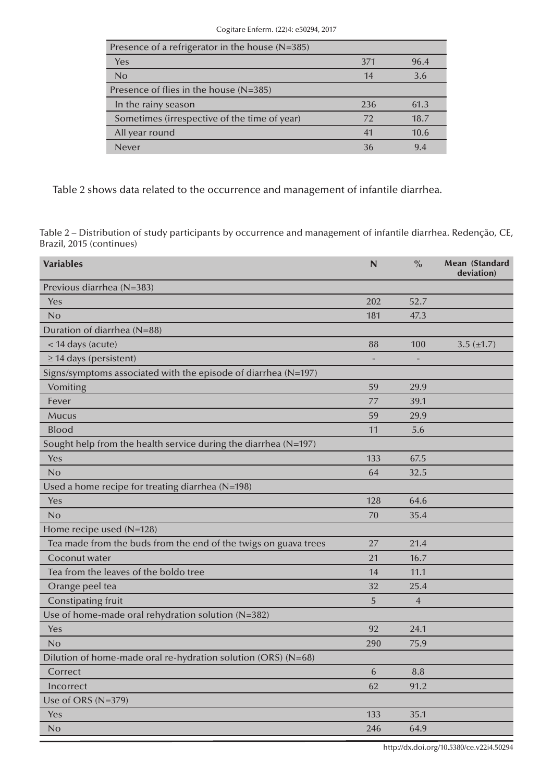| Presence of a refrigerator in the house (N=385) |     |      |
|-------------------------------------------------|-----|------|
| <b>Yes</b>                                      | 371 | 96.4 |
| No                                              | 14  | 3.6  |
| Presence of flies in the house $(N=385)$        |     |      |
|                                                 |     |      |
| In the rainy season                             | 236 | 61.3 |
| Sometimes (irrespective of the time of year)    | 72  | 18.7 |
| All year round                                  | 41  | 10.6 |

Table 2 shows data related to the occurrence and management of infantile diarrhea.

Table 2 – Distribution of study participants by occurrence and management of infantile diarrhea. Redenção, CE, Brazil, 2015 (continues)

| <b>Variables</b>                                                | N   | $\frac{0}{0}$  | Mean (Standard<br>deviation) |
|-----------------------------------------------------------------|-----|----------------|------------------------------|
| Previous diarrhea (N=383)                                       |     |                |                              |
| Yes                                                             | 202 | 52.7           |                              |
| No                                                              | 181 | 47.3           |                              |
| Duration of diarrhea (N=88)                                     |     |                |                              |
| < 14 days (acute)                                               | 88  | 100            | 3.5 $(\pm 1.7)$              |
| $\geq$ 14 days (persistent)                                     |     |                |                              |
| Signs/symptoms associated with the episode of diarrhea (N=197)  |     |                |                              |
| Vomiting                                                        | 59  | 29.9           |                              |
| Fever                                                           | 77  | 39.1           |                              |
| <b>Mucus</b>                                                    | 59  | 29.9           |                              |
| <b>Blood</b>                                                    | 11  | 5.6            |                              |
| Sought help from the health service during the diarrhea (N=197) |     |                |                              |
| Yes                                                             | 133 | 67.5           |                              |
| No                                                              | 64  | 32.5           |                              |
| Used a home recipe for treating diarrhea (N=198)                |     |                |                              |
| Yes                                                             | 128 | 64.6           |                              |
| No                                                              | 70  | 35.4           |                              |
| Home recipe used (N=128)                                        |     |                |                              |
| Tea made from the buds from the end of the twigs on guava trees | 27  | 21.4           |                              |
| Coconut water                                                   | 21  | 16.7           |                              |
| Tea from the leaves of the boldo tree                           | 14  | 11.1           |                              |
| Orange peel tea                                                 | 32  | 25.4           |                              |
| <b>Constipating fruit</b>                                       | 5   | $\overline{4}$ |                              |
| Use of home-made oral rehydration solution (N=382)              |     |                |                              |
| Yes                                                             | 92  | 24.1           |                              |
| No                                                              | 290 | 75.9           |                              |
| Dilution of home-made oral re-hydration solution (ORS) (N=68)   |     |                |                              |
| Correct                                                         | 6   | 8.8            |                              |
| Incorrect                                                       | 62  | 91.2           |                              |
| Use of ORS (N=379)                                              |     |                |                              |
| Yes                                                             | 133 | 35.1           |                              |
| No                                                              | 246 | 64.9           |                              |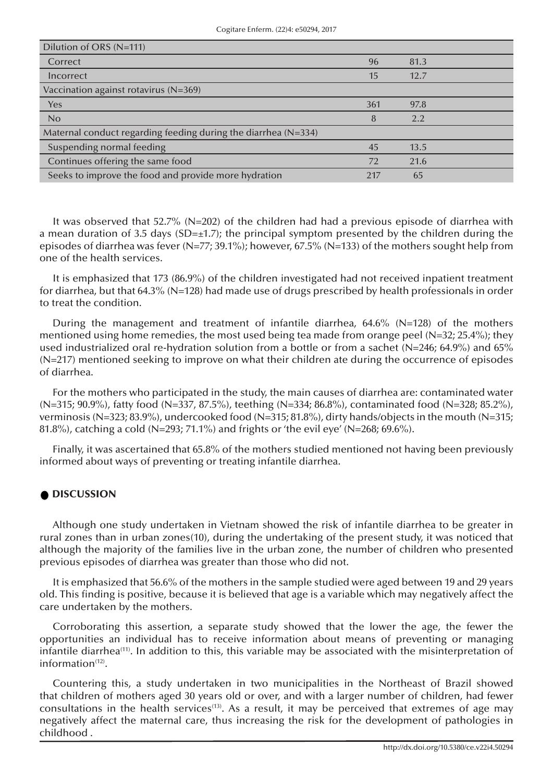| Dilution of ORS (N=111)                                          |     |      |  |
|------------------------------------------------------------------|-----|------|--|
| Correct                                                          | 96  | 81.3 |  |
| Incorrect                                                        | 15  | 12.7 |  |
| Vaccination against rotavirus ( $N=369$ )                        |     |      |  |
| Yes                                                              | 361 | 97.8 |  |
| No                                                               | 8   | 2.2  |  |
| Maternal conduct regarding feeding during the diarrhea $(N=334)$ |     |      |  |
| Suspending normal feeding                                        | 45  | 13.5 |  |
| Continues offering the same food                                 | 72  | 21.6 |  |
| Seeks to improve the food and provide more hydration             | 217 | 65   |  |

It was observed that 52.7% (N=202) of the children had had a previous episode of diarrhea with a mean duration of 3.5 days (SD= $\pm$ 1.7); the principal symptom presented by the children during the episodes of diarrhea was fever (N=77; 39.1%); however, 67.5% (N=133) of the mothers sought help from one of the health services.

It is emphasized that 173 (86.9%) of the children investigated had not received inpatient treatment for diarrhea, but that 64.3% (N=128) had made use of drugs prescribed by health professionals in order to treat the condition.

During the management and treatment of infantile diarrhea,  $64.6\%$  (N=128) of the mothers mentioned using home remedies, the most used being tea made from orange peel ( $N=32$ ; 25.4%); they used industrialized oral re-hydration solution from a bottle or from a sachet (N=246; 64.9%) and 65% (N=217) mentioned seeking to improve on what their children ate during the occurrence of episodes of diarrhea.

For the mothers who participated in the study, the main causes of diarrhea are: contaminated water (N=315; 90.9%), fatty food (N=337, 87.5%), teething (N=334; 86.8%), contaminated food (N=328; 85.2%), verminosis (N=323; 83.9%), undercooked food (N=315; 81.8%), dirty hands/objects in the mouth (N=315; 81.8%), catching a cold (N=293; 71.1%) and frights or 'the evil eye' (N=268; 69.6%).

Finally, it was ascertained that 65.8% of the mothers studied mentioned not having been previously informed about ways of preventing or treating infantile diarrhea.

### **DISCUSSION**

Although one study undertaken in Vietnam showed the risk of infantile diarrhea to be greater in rural zones than in urban zones(10), during the undertaking of the present study, it was noticed that although the majority of the families live in the urban zone, the number of children who presented previous episodes of diarrhea was greater than those who did not.

It is emphasized that 56.6% of the mothers in the sample studied were aged between 19 and 29 years old. This finding is positive, because it is believed that age is a variable which may negatively affect the care undertaken by the mothers.

Corroborating this assertion, a separate study showed that the lower the age, the fewer the opportunities an individual has to receive information about means of preventing or managing infantile diarrhea<sup>(11)</sup>. In addition to this, this variable may be associated with the misinterpretation of information $(12)$ .

Countering this, a study undertaken in two municipalities in the Northeast of Brazil showed that children of mothers aged 30 years old or over, and with a larger number of children, had fewer consultations in the health services<sup>(13)</sup>. As a result, it may be perceived that extremes of age may negatively affect the maternal care, thus increasing the risk for the development of pathologies in childhood .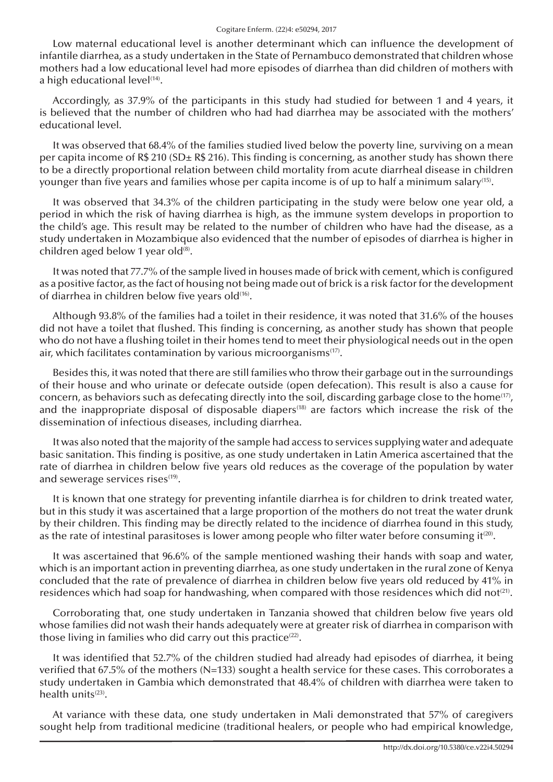Low maternal educational level is another determinant which can influence the development of infantile diarrhea, as a study undertaken in the State of Pernambuco demonstrated that children whose mothers had a low educational level had more episodes of diarrhea than did children of mothers with a high educational level<sup>(14)</sup>.

Accordingly, as 37.9% of the participants in this study had studied for between 1 and 4 years, it is believed that the number of children who had had diarrhea may be associated with the mothers' educational level.

It was observed that 68.4% of the families studied lived below the poverty line, surviving on a mean per capita income of R\$ 210 (SD $\pm$  R\$ 216). This finding is concerning, as another study has shown there to be a directly proportional relation between child mortality from acute diarrheal disease in children younger than five years and families whose per capita income is of up to half a minimum salary<sup>(15)</sup>.

It was observed that 34.3% of the children participating in the study were below one year old, a period in which the risk of having diarrhea is high, as the immune system develops in proportion to the child's age. This result may be related to the number of children who have had the disease, as a study undertaken in Mozambique also evidenced that the number of episodes of diarrhea is higher in children aged below 1 year old<sup>(8)</sup>.

It was noted that 77.7% of the sample lived in houses made of brick with cement, which is configured as a positive factor, as the fact of housing not being made out of brick is a risk factor for the development of diarrhea in children below five years old(16).

Although 93.8% of the families had a toilet in their residence, it was noted that 31.6% of the houses did not have a toilet that flushed. This finding is concerning, as another study has shown that people who do not have a flushing toilet in their homes tend to meet their physiological needs out in the open air, which facilitates contamination by various microorganisms<sup>(17)</sup>.

Besides this, it was noted that there are still families who throw their garbage out in the surroundings of their house and who urinate or defecate outside (open defecation). This result is also a cause for concern, as behaviors such as defecating directly into the soil, discarding garbage close to the home<sup>(17)</sup>, and the inappropriate disposal of disposable diapers<sup>(18)</sup> are factors which increase the risk of the dissemination of infectious diseases, including diarrhea.

It was also noted that the majority of the sample had access to services supplying water and adequate basic sanitation. This finding is positive, as one study undertaken in Latin America ascertained that the rate of diarrhea in children below five years old reduces as the coverage of the population by water and sewerage services rises<sup>(19)</sup>.

It is known that one strategy for preventing infantile diarrhea is for children to drink treated water, but in this study it was ascertained that a large proportion of the mothers do not treat the water drunk by their children. This finding may be directly related to the incidence of diarrhea found in this study, as the rate of intestinal parasitoses is lower among people who filter water before consuming it $(20)$ .

It was ascertained that 96.6% of the sample mentioned washing their hands with soap and water, which is an important action in preventing diarrhea, as one study undertaken in the rural zone of Kenya concluded that the rate of prevalence of diarrhea in children below five years old reduced by 41% in residences which had soap for handwashing, when compared with those residences which did not<sup>(21)</sup>.

Corroborating that, one study undertaken in Tanzania showed that children below five years old whose families did not wash their hands adequately were at greater risk of diarrhea in comparison with those living in families who did carry out this practice<sup>(22)</sup>.

It was identified that 52.7% of the children studied had already had episodes of diarrhea, it being verified that 67.5% of the mothers (N=133) sought a health service for these cases. This corroborates a study undertaken in Gambia which demonstrated that 48.4% of children with diarrhea were taken to health units<sup>(23)</sup>.

At variance with these data, one study undertaken in Mali demonstrated that 57% of caregivers sought help from traditional medicine (traditional healers, or people who had empirical knowledge,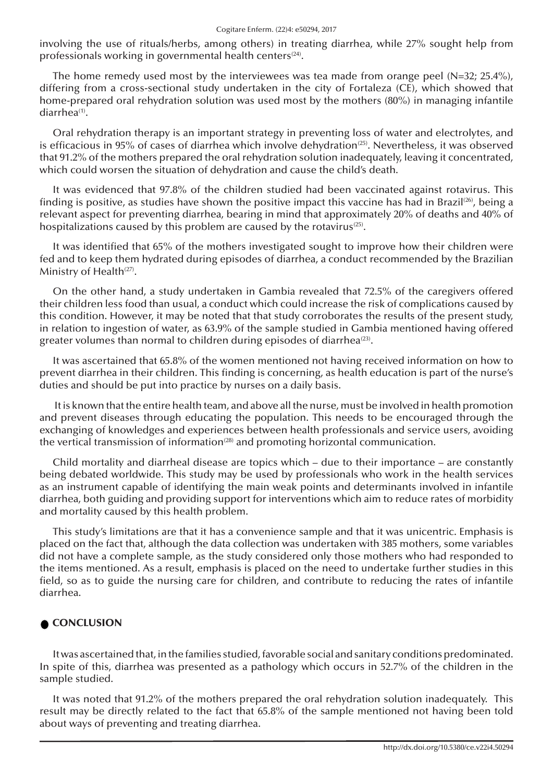involving the use of rituals/herbs, among others) in treating diarrhea, while 27% sought help from professionals working in governmental health centers<sup>(24)</sup>.

The home remedy used most by the interviewees was tea made from orange peel (N=32; 25.4%), differing from a cross-sectional study undertaken in the city of Fortaleza (CE), which showed that home-prepared oral rehydration solution was used most by the mothers (80%) in managing infantile diarrhea<sup>(1)</sup>.

Oral rehydration therapy is an important strategy in preventing loss of water and electrolytes, and is efficacious in 95% of cases of diarrhea which involve dehydration<sup>(25)</sup>. Nevertheless, it was observed that 91.2% of the mothers prepared the oral rehydration solution inadequately, leaving it concentrated, which could worsen the situation of dehydration and cause the child's death.

It was evidenced that 97.8% of the children studied had been vaccinated against rotavirus. This finding is positive, as studies have shown the positive impact this vaccine has had in Brazil<sup>(26)</sup>, being a relevant aspect for preventing diarrhea, bearing in mind that approximately 20% of deaths and 40% of hospitalizations caused by this problem are caused by the rotavirus<sup> $(25)$ </sup>.

It was identified that 65% of the mothers investigated sought to improve how their children were fed and to keep them hydrated during episodes of diarrhea, a conduct recommended by the Brazilian Ministry of Health $(27)$ .

On the other hand, a study undertaken in Gambia revealed that 72.5% of the caregivers offered their children less food than usual, a conduct which could increase the risk of complications caused by this condition. However, it may be noted that that study corroborates the results of the present study, in relation to ingestion of water, as 63.9% of the sample studied in Gambia mentioned having offered greater volumes than normal to children during episodes of diarrhea $(23)$ .

It was ascertained that 65.8% of the women mentioned not having received information on how to prevent diarrhea in their children. This finding is concerning, as health education is part of the nurse's duties and should be put into practice by nurses on a daily basis.

 It is known that the entire health team, and above all the nurse, must be involved in health promotion and prevent diseases through educating the population. This needs to be encouraged through the exchanging of knowledges and experiences between health professionals and service users, avoiding the vertical transmission of information<sup> $(28)$ </sup> and promoting horizontal communication.

Child mortality and diarrheal disease are topics which – due to their importance – are constantly being debated worldwide. This study may be used by professionals who work in the health services as an instrument capable of identifying the main weak points and determinants involved in infantile diarrhea, both guiding and providing support for interventions which aim to reduce rates of morbidity and mortality caused by this health problem.

This study's limitations are that it has a convenience sample and that it was unicentric. Emphasis is placed on the fact that, although the data collection was undertaken with 385 mothers, some variables did not have a complete sample, as the study considered only those mothers who had responded to the items mentioned. As a result, emphasis is placed on the need to undertake further studies in this field, so as to guide the nursing care for children, and contribute to reducing the rates of infantile diarrhea.

## CONCLUSION

It was ascertained that, in the families studied, favorable social and sanitary conditions predominated. In spite of this, diarrhea was presented as a pathology which occurs in 52.7% of the children in the sample studied.

It was noted that 91.2% of the mothers prepared the oral rehydration solution inadequately. This result may be directly related to the fact that 65.8% of the sample mentioned not having been told about ways of preventing and treating diarrhea.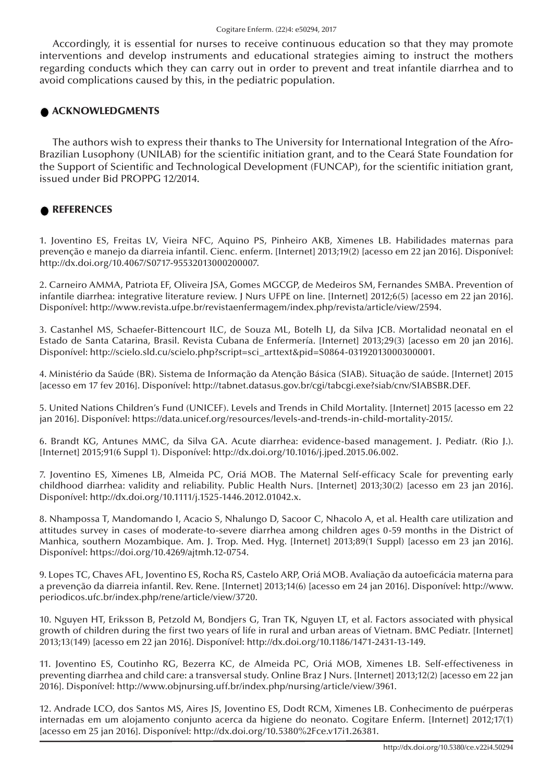Accordingly, it is essential for nurses to receive continuous education so that they may promote interventions and develop instruments and educational strategies aiming to instruct the mothers regarding conducts which they can carry out in order to prevent and treat infantile diarrhea and to avoid complications caused by this, in the pediatric population.

### ACKNOWLEDGMENTS

The authors wish to express their thanks to The University for International Integration of the Afro-Brazilian Lusophony (UNILAB) for the scientific initiation grant, and to the Ceará State Foundation for the Support of Scientific and Technological Development (FUNCAP), for the scientific initiation grant, issued under Bid PROPPG 12/2014.

#### **REFERENCES**

1. Joventino ES, Freitas LV, Vieira NFC, Aquino PS, Pinheiro AKB, Ximenes LB. Habilidades maternas para prevenção e manejo da diarreia infantil. Cienc. enferm. [Internet] 2013;19(2) [acesso em 22 jan 2016]. Disponível: http://dx.doi.org/10.4067/S0717-95532013000200007.

2. Carneiro AMMA, Patriota EF, Oliveira JSA, Gomes MGCGP, de Medeiros SM, Fernandes SMBA. Prevention of infantile diarrhea: integrative literature review. J Nurs UFPE on line. [Internet] 2012;6(5) [acesso em 22 jan 2016]. Disponível: http://www.revista.ufpe.br/revistaenfermagem/index.php/revista/article/view/2594.

3. Castanhel MS, Schaefer-Bittencourt ILC, de Souza ML, Botelh LJ, da Silva JCB. Mortalidad neonatal en el Estado de Santa Catarina, Brasil. Revista Cubana de Enfermería. [Internet] 2013;29(3) [acesso em 20 jan 2016]. Disponível: http://scielo.sld.cu/scielo.php?script=sci\_arttext&pid=S0864-03192013000300001.

4. Ministério da Saúde (BR). Sistema de Informação da Atenção Básica (SIAB). Situação de saúde. [Internet] 2015 [acesso em 17 fev 2016]. Disponível: http://tabnet.datasus.gov.br/cgi/tabcgi.exe?siab/cnv/SIABSBR.DEF.

5. United Nations Children's Fund (UNICEF). Levels and Trends in Child Mortality. [Internet] 2015 [acesso em 22 jan 2016]. Disponível: https://data.unicef.org/resources/levels-and-trends-in-child-mortality-2015/.

6. Brandt KG, Antunes MMC, da Silva GA. Acute diarrhea: evidence-based management. J. Pediatr. (Rio J.). [Internet] 2015;91(6 Suppl 1). Disponível: http://dx.doi.org/10.1016/j.jped.2015.06.002.

7. Joventino ES, Ximenes LB, Almeida PC, Oriá MOB. The Maternal Self-efficacy Scale for preventing early childhood diarrhea: validity and reliability. Public Health Nurs. [Internet] 2013;30(2) [acesso em 23 jan 2016]. Disponível: http://dx.doi.org/10.1111/j.1525-1446.2012.01042.x.

8. Nhampossa T, Mandomando I, Acacio S, Nhalungo D, Sacoor C, Nhacolo A, et al. Health care utilization and attitudes survey in cases of moderate-to-severe diarrhea among children ages 0-59 months in the District of Manhica, southern Mozambique. Am. J. Trop. Med. Hyg. [Internet] 2013;89(1 Suppl) [acesso em 23 jan 2016]. Disponível: https://doi.org/10.4269/ajtmh.12-0754.

9. Lopes TC, Chaves AFL, Joventino ES, Rocha RS, Castelo ARP, Oriá MOB. Avaliação da autoeficácia materna para a prevenção da diarreia infantil. Rev. Rene. [Internet] 2013;14(6) [acesso em 24 jan 2016]. Disponível: http://www. periodicos.ufc.br/index.php/rene/article/view/3720.

10. Nguyen HT, Eriksson B, Petzold M, Bondjers G, Tran TK, Nguyen LT, et al. Factors associated with physical growth of children during the first two years of life in rural and urban areas of Vietnam. BMC Pediatr. [Internet] 2013;13(149) [acesso em 22 jan 2016]. Disponível: http://dx.doi.org/10.1186/1471-2431-13-149.

11. Joventino ES, Coutinho RG, Bezerra KC, de Almeida PC, Oriá MOB, Ximenes LB. Self-effectiveness in preventing diarrhea and child care: a transversal study. Online Braz J Nurs. [Internet] 2013;12(2) [acesso em 22 jan 2016]. Disponível: http://www.objnursing.uff.br/index.php/nursing/article/view/3961.

12. Andrade LCO, dos Santos MS, Aires JS, Joventino ES, Dodt RCM, Ximenes LB. Conhecimento de puérperas internadas em um alojamento conjunto acerca da higiene do neonato. Cogitare Enferm. [Internet] 2012;17(1) [acesso em 25 jan 2016]. Disponível: http://dx.doi.org/10.5380%2Fce.v17i1.26381.